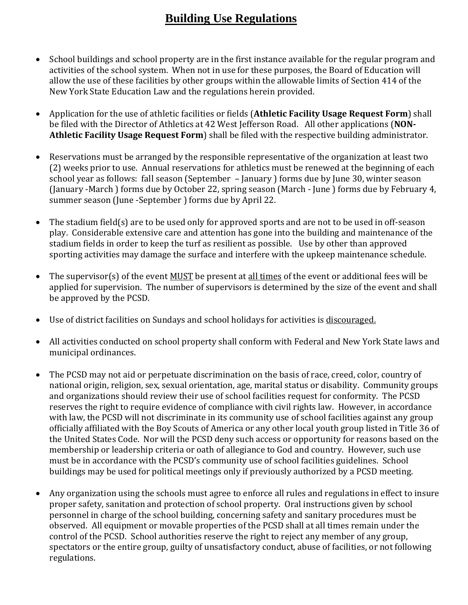# **Building Use Regulations**

- School buildings and school property are in the first instance available for the regular program and activities of the school system. When not in use for these purposes, the Board of Education will allow the use of these facilities by other groups within the allowable limits of Section 414 of the New York State Education Law and the regulations herein provided.
- Application for the use of athletic facilities or fields (**Athletic Facility Usage Request Form**) shall be filed with the Director of Athletics at 42 West Jefferson Road. All other applications (**NON-Athletic Facility Usage Request Form**) shall be filed with the respective building administrator.
- Reservations must be arranged by the responsible representative of the organization at least two (2) weeks prior to use. Annual reservations for athletics must be renewed at the beginning of each school year as follows: fall season (September – January ) forms due by June 30, winter season (January -March ) forms due by October 22, spring season (March - June ) forms due by February 4, summer season (June -September ) forms due by April 22.
- The stadium field(s) are to be used only for approved sports and are not to be used in off-season play. Considerable extensive care and attention has gone into the building and maintenance of the stadium fields in order to keep the turf as resilient as possible. Use by other than approved sporting activities may damage the surface and interfere with the upkeep maintenance schedule.
- The supervisor(s) of the event MUST be present at <u>all times</u> of the event or additional fees will be applied for supervision. The number of supervisors is determined by the size of the event and shall be approved by the PCSD.
- Use of district facilities on Sundays and school holidays for activities is discouraged.
- All activities conducted on school property shall conform with Federal and New York State laws and municipal ordinances.
- The PCSD may not aid or perpetuate discrimination on the basis of race, creed, color, country of national origin, religion, sex, sexual orientation, age, marital status or disability. Community groups and organizations should review their use of school facilities request for conformity. The PCSD reserves the right to require evidence of compliance with civil rights law. However, in accordance with law, the PCSD will not discriminate in its community use of school facilities against any group officially affiliated with the Boy Scouts of America or any other local youth group listed in Title 36 of the United States Code. Nor will the PCSD deny such access or opportunity for reasons based on the membership or leadership criteria or oath of allegiance to God and country. However, such use must be in accordance with the PCSD's community use of school facilities guidelines. School buildings may be used for political meetings only if previously authorized by a PCSD meeting.
- Any organization using the schools must agree to enforce all rules and regulations in effect to insure proper safety, sanitation and protection of school property. Oral instructions given by school personnel in charge of the school building, concerning safety and sanitary procedures must be observed. All equipment or movable properties of the PCSD shall at all times remain under the control of the PCSD. School authorities reserve the right to reject any member of any group, spectators or the entire group, guilty of unsatisfactory conduct, abuse of facilities, or not following regulations.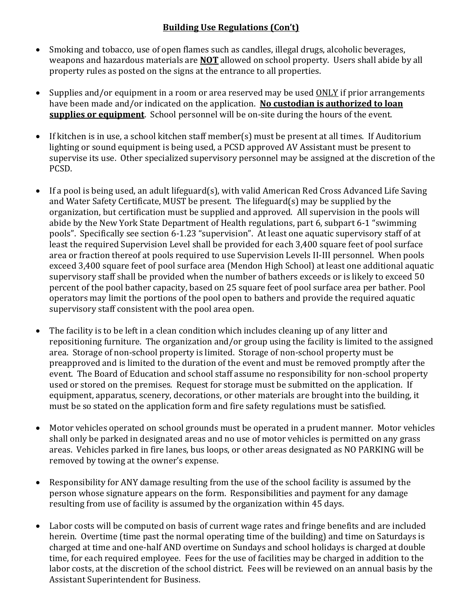## **Building Use Regulations (Con't)**

- Smoking and tobacco, use of open flames such as candles, illegal drugs, alcoholic beverages, weapons and hazardous materials are **NOT** allowed on school property. Users shall abide by all property rules as posted on the signs at the entrance to all properties.
- Supplies and/or equipment in a room or area reserved may be used ONLY if prior arrangements have been made and/or indicated on the application. **No custodian is authorized to loan supplies or equipment**. School personnel will be on-site during the hours of the event.
- If kitchen is in use, a school kitchen staff member(s) must be present at all times. If Auditorium lighting or sound equipment is being used, a PCSD approved AV Assistant must be present to supervise its use. Other specialized supervisory personnel may be assigned at the discretion of the PCSD.
- If a pool is being used, an adult lifeguard(s), with valid American Red Cross Advanced Life Saving and Water Safety Certificate, MUST be present. The lifeguard(s) may be supplied by the organization, but certification must be supplied and approved. All supervision in the pools will abide by the New York State Department of Health regulations, part 6, subpart 6-1 "swimming pools". Specifically see section 6-1.23 "supervision". At least one aquatic supervisory staff of at least the required Supervision Level shall be provided for each 3,400 square feet of pool surface area or fraction thereof at pools required to use Supervision Levels II-III personnel. When pools exceed 3,400 square feet of pool surface area (Mendon High School) at least one additional aquatic supervisory staff shall be provided when the number of bathers exceeds or is likely to exceed 50 percent of the pool bather capacity, based on 25 square feet of pool surface area per bather. Pool operators may limit the portions of the pool open to bathers and provide the required aquatic supervisory staff consistent with the pool area open.
- The facility is to be left in a clean condition which includes cleaning up of any litter and repositioning furniture. The organization and/or group using the facility is limited to the assigned area. Storage of non-school property is limited. Storage of non-school property must be preapproved and is limited to the duration of the event and must be removed promptly after the event. The Board of Education and school staff assume no responsibility for non-school property used or stored on the premises. Request for storage must be submitted on the application. If equipment, apparatus, scenery, decorations, or other materials are brought into the building, it must be so stated on the application form and fire safety regulations must be satisfied.
- Motor vehicles operated on school grounds must be operated in a prudent manner. Motor vehicles shall only be parked in designated areas and no use of motor vehicles is permitted on any grass areas. Vehicles parked in fire lanes, bus loops, or other areas designated as NO PARKING will be removed by towing at the owner's expense.
- Responsibility for ANY damage resulting from the use of the school facility is assumed by the person whose signature appears on the form. Responsibilities and payment for any damage resulting from use of facility is assumed by the organization within 45 days.
- Labor costs will be computed on basis of current wage rates and fringe benefits and are included herein. Overtime (time past the normal operating time of the building) and time on Saturdays is charged at time and one-half AND overtime on Sundays and school holidays is charged at double time, for each required employee. Fees for the use of facilities may be charged in addition to the labor costs, at the discretion of the school district. Fees will be reviewed on an annual basis by the Assistant Superintendent for Business.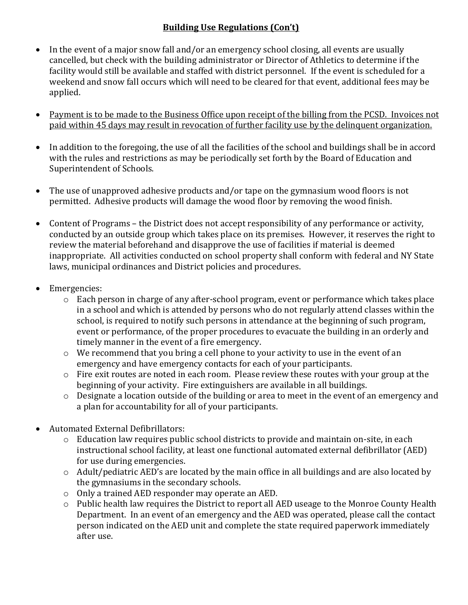## **Building Use Regulations (Con't)**

- In the event of a major snow fall and/or an emergency school closing, all events are usually cancelled, but check with the building administrator or Director of Athletics to determine if the facility would still be available and staffed with district personnel. If the event is scheduled for a weekend and snow fall occurs which will need to be cleared for that event, additional fees may be applied.
- Payment is to be made to the Business Office upon receipt of the billing from the PCSD. Invoices not paid within 45 days may result in revocation of further facility use by the delinquent organization.
- In addition to the foregoing, the use of all the facilities of the school and buildings shall be in accord with the rules and restrictions as may be periodically set forth by the Board of Education and Superintendent of Schools.
- The use of unapproved adhesive products and/or tape on the gymnasium wood floors is not permitted. Adhesive products will damage the wood floor by removing the wood finish.
- Content of Programs the District does not accept responsibility of any performance or activity, conducted by an outside group which takes place on its premises. However, it reserves the right to review the material beforehand and disapprove the use of facilities if material is deemed inappropriate. All activities conducted on school property shall conform with federal and NY State laws, municipal ordinances and District policies and procedures.
- Emergencies:
	- $\circ$  Each person in charge of any after-school program, event or performance which takes place in a school and which is attended by persons who do not regularly attend classes within the school, is required to notify such persons in attendance at the beginning of such program, event or performance, of the proper procedures to evacuate the building in an orderly and timely manner in the event of a fire emergency.
	- o We recommend that you bring a cell phone to your activity to use in the event of an emergency and have emergency contacts for each of your participants.
	- o Fire exit routes are noted in each room. Please review these routes with your group at the beginning of your activity. Fire extinguishers are available in all buildings.
	- o Designate a location outside of the building or area to meet in the event of an emergency and a plan for accountability for all of your participants.
- Automated External Defibrillators:
	- $\circ$  Education law requires public school districts to provide and maintain on-site, in each instructional school facility, at least one functional automated external defibrillator (AED) for use during emergencies.
	- o Adult/pediatric AED's are located by the main office in all buildings and are also located by the gymnasiums in the secondary schools.
	- o Only a trained AED responder may operate an AED.
	- o Public health law requires the District to report all AED useage to the Monroe County Health Department. In an event of an emergency and the AED was operated, please call the contact person indicated on the AED unit and complete the state required paperwork immediately after use.